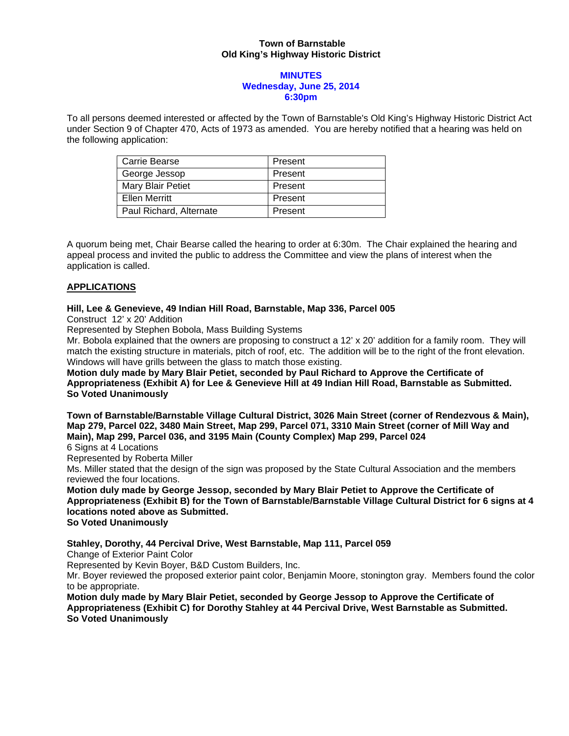# **Town of Barnstable Old King's Highway Historic District**

### **MINUTES Wednesday, June 25, 2014 6:30pm**

To all persons deemed interested or affected by the Town of Barnstable's Old King's Highway Historic District Act under Section 9 of Chapter 470, Acts of 1973 as amended. You are hereby notified that a hearing was held on the following application:

| Carrie Bearse           | Present |
|-------------------------|---------|
| George Jessop           | Present |
| Mary Blair Petiet       | Present |
| <b>Ellen Merritt</b>    | Present |
| Paul Richard, Alternate | Present |

A quorum being met, Chair Bearse called the hearing to order at 6:30m. The Chair explained the hearing and appeal process and invited the public to address the Committee and view the plans of interest when the application is called.

# **APPLICATIONS**

### **Hill, Lee & Genevieve, 49 Indian Hill Road, Barnstable, Map 336, Parcel 005**

Construct 12' x 20' Addition

Represented by Stephen Bobola, Mass Building Systems

Mr. Bobola explained that the owners are proposing to construct a 12' x 20' addition for a family room. They will match the existing structure in materials, pitch of roof, etc. The addition will be to the right of the front elevation. Windows will have grills between the glass to match those existing.

**Motion duly made by Mary Blair Petiet, seconded by Paul Richard to Approve the Certificate of Appropriateness (Exhibit A) for Lee & Genevieve Hill at 49 Indian Hill Road, Barnstable as Submitted. So Voted Unanimously** 

**Town of Barnstable/Barnstable Village Cultural District, 3026 Main Street (corner of Rendezvous & Main), Map 279, Parcel 022, 3480 Main Street, Map 299, Parcel 071, 3310 Main Street (corner of Mill Way and Main), Map 299, Parcel 036, and 3195 Main (County Complex) Map 299, Parcel 024** 

6 Signs at 4 Locations

Represented by Roberta Miller

Ms. Miller stated that the design of the sign was proposed by the State Cultural Association and the members reviewed the four locations.

**Motion duly made by George Jessop, seconded by Mary Blair Petiet to Approve the Certificate of Appropriateness (Exhibit B) for the Town of Barnstable/Barnstable Village Cultural District for 6 signs at 4 locations noted above as Submitted. So Voted Unanimously** 

# **Stahley, Dorothy, 44 Percival Drive, West Barnstable, Map 111, Parcel 059**

Change of Exterior Paint Color

Represented by Kevin Boyer, B&D Custom Builders, Inc.

Mr. Boyer reviewed the proposed exterior paint color, Benjamin Moore, stonington gray. Members found the color to be appropriate.

**Motion duly made by Mary Blair Petiet, seconded by George Jessop to Approve the Certificate of Appropriateness (Exhibit C) for Dorothy Stahley at 44 Percival Drive, West Barnstable as Submitted. So Voted Unanimously**